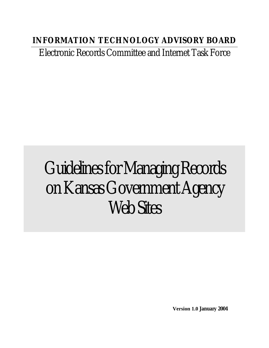# **INFORMATION TECHNOLOGY ADVISORY BOARD**

Electronic Records Committee and Internet Task Force

# Guidelines for Managing Records on Kansas Government Agency Web Sites

**Version 1.0 January 2004**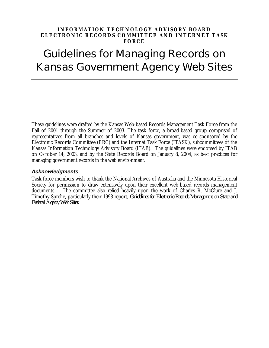#### **INFORMATION TECHNOLOGY ADVISORY BOARD ELECTRONIC RECORDS COMMITTEE AND INTERNET TASK FORCE**

# Guidelines for Managing Records on Kansas Government Agency Web Sites

These guidelines were drafted by the Kansas Web-based Records Management Task Force from the Fall of 2001 through the Summer of 2003. The task force, a broad-based group comprised of representatives from all branches and levels of Kansas government, was co-sponsored by the Electronic Records Committee (ERC) and the Internet Task Force (ITASK), subcommittees of the Kansas Information Technology Advisory Board (ITAB). The guidelines were endorsed by ITAB on October 14, 2003, and by the State Records Board on January 8, 2004, as best practices for managing government records in the web environment.

#### *Acknowledgments*

Task force members wish to thank the National Archives of Australia and the Minnesota Historical Society for permission to draw extensively upon their excellent web-based records management documents. The committee also relied heavily upon the work of Charles R. McClure and J. Timothy Sprehe, particularly their 1998 report, *Guidelines for Electronic Records Management on State and Federal Agency Web Sites.*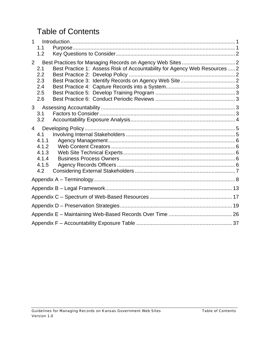# Table of Contents

| 1.1<br>1.2                                                                                                                             |  |
|----------------------------------------------------------------------------------------------------------------------------------------|--|
| $\overline{2}$<br>Best Practice 1: Assess Risk of Accountability for Agency Web Resources  2<br>2.1<br>2.2<br>2.3<br>2.4<br>2.5<br>2.6 |  |
| 3 <sup>1</sup><br>3.1<br>3.2                                                                                                           |  |
| 4<br>4.1<br>4.1.1<br>4.1.2<br>4.1.3<br>4.1.4<br>4.1.5<br>4.2                                                                           |  |
|                                                                                                                                        |  |
|                                                                                                                                        |  |
|                                                                                                                                        |  |
|                                                                                                                                        |  |
|                                                                                                                                        |  |
|                                                                                                                                        |  |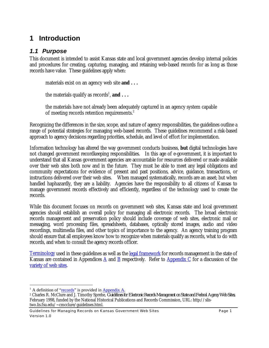# **1 Introduction**

### *1.1 Purpose*

This document is intended to assist Kansas state and local government agencies develop internal policies and procedures for creating, capturing, managing, and retaining web-based records for as long as those records have value. These guidelines apply when:

materials exist on an agency web site **and . . .**

the materials qualify as records<sup>1</sup>, **and**  $\ldots$ 

the materials have not already been adequately captured in an agency system capable of meeting records retention requirements.<sup>2</sup>

Recognizing the differences in the size, scope, and nature of agency responsibilities, the guidelines outline a range of potential strategies for managing web-based records. These guidelines recommend a risk-based approach to agency decisions regarding priorities, schedule, and level of effort for implementation.

Information technology has altered the way government conducts business, **but** digital technologies have not changed government recordkeeping responsibilities. In this age of e-government, it is important to understand that all Kansas government agencies are accountable for resources delivered or made available over their web sites both now and in the future. They must be able to meet any legal obligations and community expectations for evidence of present and past positions, advice, guidance, transactions, or instructions delivered over their web sites. When managed systematically, records are an asset; but when handled haphazardly, they are a liability. Agencies have the responsibility to all citizens of Kansas to manage government records effectively and efficiently, regardless of the technology used to create the records.

While this document focuses on records on government web sites, Kansas state and local government agencies should establish an overall policy for managing all electronic records. The broad electronic records management and preservation policy should include coverage of web sites, electronic mail or messaging, word processing files, spreadsheets, databases, optically stored images, audio and video recordings, multimedia files, and other topics of importance to the agency. An agency training program should ensure that all employees know how to recognize when materials qualify as records, what to do with records, and when to consult the agency records officer.

Terminology used in these guidelines as well as the legal framework for records management in the state of Kansas are contained in Appendices A and B respectively. Refer to Appendix C for a discussion of the variety of web sites.

<u>.</u>

<sup>&</sup>lt;sup>1</sup> A definition of "records" is provided in Appendix A.

<sup>2</sup> Charles R. McClure and J. Timothy Sprehe, *Guidelines for Electronic Records Management on State and Federal Agency Web Sites*, February 1998, funded by the National Historical Publications and Records Commission, URL: http://slistwo.lis.fsu.edu/~cmcclure/guidelines.html.

Guidelines for Managing Records on Kansas Government Web Sites **Page 1** Page 1 Version 1.0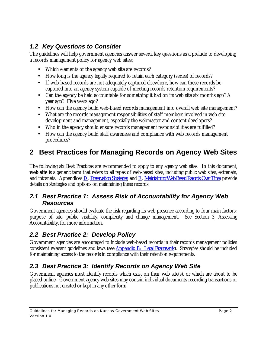# *1.2 Key Questions to Consider*

The guidelines will help government agencies answer several key questions as a prelude to developing a records management policy for agency web sites:

- Which elements of the agency web site are records?
- How long is the agency legally required to retain each category (series) of records?
- If web-based records are not adequately captured elsewhere, how can these records be captured into an agency system capable of meeting records retention requirements?
- Can the agency be held accountable for something it had on its web site six months ago? A year ago? Five years ago?
- How can the agency build web-based records management into overall web site management?
- What are the records management responsibilities of staff members involved in web site development and management, especially the webmaster and content developers?
- Who in the agency should ensure records management responsibilities are fulfilled?
- How can the agency build staff awareness and compliance with web records management procedures?

# **2 Best Practices for Managing Records on Agency Web Sites**

The following six Best Practices are recommended to apply to any agency web sites. In this document, **web site** is a generic term that refers to all types of web-based sites, including public web sites, extranets, and intranets. Appendices D, *Preservation Strategies*, and E, *Maintaining Web-Based Records Over Time*, provide details on strategies and options on maintaining these records.

### *2.1 Best Practice 1: Assess Risk of Accountability for Agency Web Resources*

Government agencies should evaluate the risk regarding its web presence according to four main factors: purpose of site, public visibility, complexity and change management. See Section 3, Assessing Accountability, for more information.

# *2.2 Best Practice 2: Develop Policy*

Government agencies are encouraged to include web-based records in their records management policies consistent relevant guidelines and laws (see Appendix B: *Legal Framework*). Strategies should be included for maintaining access to the records in compliance with their retention requirements.

# *2.3 Best Practice 3: Identify Records on Agency Web Site*

Government agencies must identify records which exist on their web site(s), or which are about to be placed online. Government agency web sites may contain individual documents recording transactions or publications not created or kept in any other form.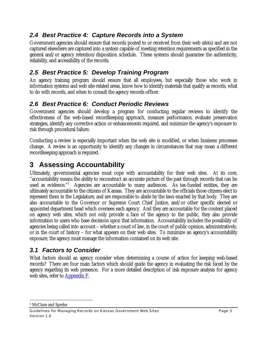# *2.4 Best Practice 4: Capture Records into a System*

Government agencies should ensure that records posted to or received from their web site(s) and are not captured elsewhere are captured into a system capable of meeting retention requirements as specified in the general and/or agency retention/disposition schedule. These systems should guarantee the authenticity, reliability, and accessibility of the records.

# *2.5 Best Practice 5: Develop Training Program*

An agency training program should ensure that all employees, but especially those who work in information systems and web site-related areas, know how to identify materials that qualify as records, what to do with records, and when to consult the agency records officer.

# *2.6 Best Practice 6: Conduct Periodic Reviews*

Government agencies should develop a program for conducting regular reviews to identify the effectiveness of the web-based recordkeeping approach, measure performance, evaluate preservation strategies, identify any corrective action or enhancements required, and minimize the agency's exposure to risk through procedural failure.

Conducting a review is especially important when the web site is modified, or when business processes change. A review is an opportunity to identify any changes in circumstances that may mean a different recordkeeping approach is required.

# **3 Assessing Accountability**

Ultimately, governmental agencies must cope with accountability for their web sites. At its core, "accountability means the ability to reconstruct an accurate picture of the past through records that can be used as evidence."<sup>3</sup> Agencies are accountable to many audiences. As tax-funded entities, they are ultimately accountable to the citizens of Kansas. They are accountable to the officials those citizens elect to represent them in the Legislature, and are responsible to abide by the laws enacted by that body. They are also accountable to the Governor or Supreme Court Chief Justice, and/or other specific elected or appointed department head which oversees each agency. And they are accountable for the content placed on agency web sites, which not only provide a face of the agency to the public, they also provide information to users who base decisions upon that information. Accountability includes the possibility of agencies being called into account – whether a court of law, in the court of public opinion, administratively, or in the court of history – for what appears on their web sites. To minimize an agency's accountability exposure, the agency must manage the information contained on its web site.

# *3.1 Factors to Consider*

What factors should an agency consider when determining a course of action for keeping web-based records? There are four main factors which should guide the agency in evaluating the risk faced by the agency regarding its web presence. For a more detailed description of risk exposure analysis for agency web sites, refer to Appendix F.

<u>.</u> 3 McClure and Sprehe

Guidelines for Managing Records on Kansas Government Web Sites **Page 3** Page 3 Version 1.0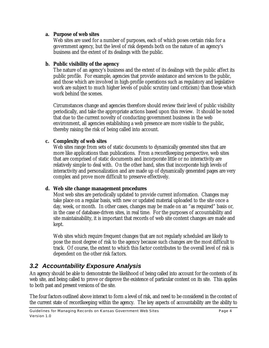#### **a. Purpose of web sites**

Web sites are used for a number of purposes, each of which poses certain risks for a government agency, but the level of risk depends both on the nature of an agency's business and the extent of its dealings with the public.

### **b. Public visibility of the agency**

The nature of an agency's business and the extent of its dealings with the public affect its public profile. For example, agencies that provide assistance and services to the public, and those which are involved in high-profile operations such as regulatory and legislative work are subject to much higher levels of public scrutiny (and criticism) than those which work behind the scenes.

Circumstances change and agencies therefore should review their level of public visibility periodically, and take the appropriate actions based upon this review. It should be noted that due to the current novelty of conducting government business in the web environment, all agencies establishing a web presence are more visible to the public, thereby raising the risk of being called into account.

### **c. Complexity of web sites**

Web sites range from sets of static documents to dynamically generated sites that are more like applications than publications. From a recordkeeping perspective, web sites that are comprised of static documents and incorporate little or no interactivity are relatively simple to deal with. On the other hand, sites that incorporate high levels of interactivity and personalization and are made up of dynamically generated pages are very complex and prove more difficult to preserve effectively.

### **d. Web site change management procedures**

Most web sites are periodically updated to provide current information. Changes may take place on a regular basis, with new or updated material uploaded to the site once a day, week, or month. In other cases, changes may be made on an "as required" basis or, in the case of database-driven sites, in real time. For the purposes of accountability and site maintainability, it is important that records of web site content changes are made and kept.

Web sites which require frequent changes that are not regularly scheduled are likely to pose the most degree of risk to the agency because such changes are the most difficult to track. Of course, the extent to which this factor contributes to the overall level of risk is dependent on the other risk factors.

# *3.2 Accountability Exposure Analysis*

An agency should be able to demonstrate the likelihood of being called into account for the contents of its web site, and being called to prove or disprove the existence of particular content on its site. This applies to both past and present versions of the site.

The four factors outlined above interact to form a level of risk, and need to be considered in the context of the current state of recordkeeping within the agency. The key aspects of accountability are the ability to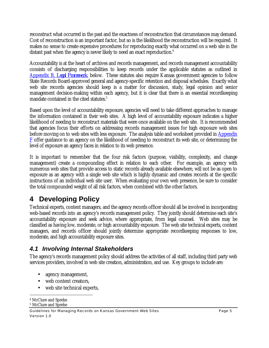reconstruct what occurred in the past and the exactness of reconstruction that circumstances may demand. Cost of reconstruction is an important factor, but so is the likelihood the reconstruction will be required. It makes no sense to create expensive procedures for reproducing exactly what occurred on a web site in the distant past when the agency is never likely to need an exact reproduction.<sup>4</sup>

Accountability is at the heart of archives and records management, and records management accountability consists of discharging responsibilities to keep records under the applicable statutes as outlined in Appendix B, *Legal Framework*, below. These statutes also require Kansas government agencies to follow State Records Board-approved general and agency-specific retention and disposal schedules. Exactly what web site records agencies should keep is a matter for discussion, study, legal opinion and senior management decision-making within each agency, but it is clear that there is an essential recordkeeping mandate contained in the cited statutes.<sup>5</sup>

Based upon the level of accountability exposure, agencies will need to take different approaches to manage the information contained in their web sites. A high level of accountability exposure indicates a higher likelihood of needing to reconstruct materials that were once available on the web site. It is recommended that agencies focus their efforts on addressing records management issues for high exposure web sites before moving on to web sites with less exposure. The analysis table and worksheet provided in Appendix  $F$  offer guidance to an agency on the likelihood of needing to reconstruct its web site, or determining the level of exposure an agency faces in relation to its web presence.

It is important to remember that the four risk factors (purpose, visibility, complexity, and change management) create a compounding effect in relation to each other. For example, an agency with numerous web sites that provide access to static records already available elsewhere, will not be as open to exposure as an agency with a single web site which is highly dynamic and creates records at the specific instructions of an individual web site user. When evaluating your own web presence, be sure to consider the total compounded weight of all risk factors, when combined with the other factors.

# **4 Developing Policy**

Technical experts, content managers, and the agency records officer should all be involved in incorporating web-based records into an agency's records management policy. They jointly should determine each site's accountability exposure and seek advice, where appropriate, from legal counsel. Web sites may be classified as having low, moderate, or high accountability exposure. The web site technical experts, content managers, and records officer should jointly determine appropriate recordkeeping responses to low, moderate, and high accountability exposure sites.

### *4.1 Involving Internal Stakeholders*

The agency's records management policy should address the activities of all staff, including third party web services providers, involved in web site creation, administration, and use. Key groups to include are:

- agency management,
- web content creators,
- web site technical experts,

<sup>&</sup>lt;u>.</u> 4 McClure and Sprehe

<sup>5</sup> McClure and Sprehe

Guidelines for Managing Records on Kansas Government Web Sites **Page 5** Page 5 Version 1.0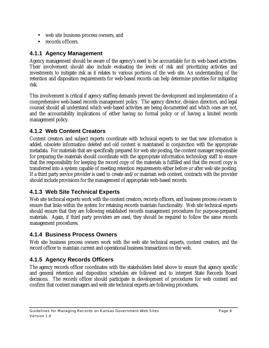- web site business process owners, and
- records officers.

### **4.1.1 Agency Management**

Agency management should be aware of the agency's need to be accountable for its web-based activities. Their involvement should also include evaluating the levels of risk and prioritizing activities and investments to mitigate risk as it relates to various portions of the web site. An understanding of the retention and disposition requirements for web-based records can help determine priorities for mitigating risk.

This involvement is critical if agency staffing demands prevent the development and implementation of a comprehensive web-based records management policy. The agency director, division directors, and legal counsel should all understand which web-based activities are being documented and which ones are not, and the accountability implications of either having no formal policy or of having a limited records management policy.

### **4.1.2 Web Content Creators**

Content creators and subject experts coordinate with technical experts to see that new information is added, obsolete information deleted and old content is maintained in conjunction with the appropriate metadata. For materials that are specifically prepared for web site posting, the content manager responsible for preparing the materials should coordinate with the appropriate information technology staff to ensure that the responsibility for keeping the record copy of the materials is fulfilled and that the record copy is transferred into a system capable of meeting retention requirements either before or after web site posting. If a third party service provider is used to create and/or maintain web content, contracts with the provider should include provisions for the management of appropriate web-based records.

### **4.1.3 Web Site Technical Experts**

Web site technical experts work with the content creators, records officers, and business process owners to ensure that links within the system for retaining records maintain functionality. Web site technical experts should ensure that they are following established records management procedures for purpose-prepared materials. Again, if third party providers are used, they should be required to follow the same records management procedures.

### **4.1.4 Business Process Owners**

Web site business process owners work with the web site technical experts, content creators, and the record officer to maintain current and operational business transactions on the web.

### **4.1.5 Agency Records Officers**

The agency records officer coordinates with the stakeholders listed above to ensure that agency specific and general retention and disposition schedules are followed and to interpret State Records Board decisions. The records officer should participate in development of procedures for web content and confirm that content managers and web site technical experts are following procedures.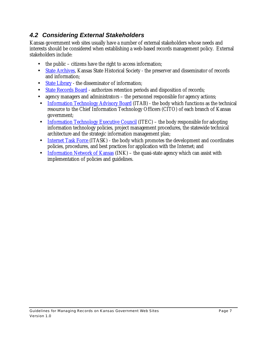# *4.2 Considering External Stakeholders*

Kansas government web sites usually have a number of external stakeholders whose needs and interests should be considered when establishing a web-based records management policy. External stakeholders include:

- the public citizens have the right to access information;
- State Archives, Kansas State Historical Society the preserver and disseminator of records and information;
- State Library the disseminator of information;
- State Records Board authorizes retention periods and disposition of records;
- agency managers and administrators the personnel responsible for agency actions;
- Information Technology Advisory Board (ITAB) the body which functions as the technical resource to the Chief Information Technology Officers (CITO) of each branch of Kansas government;
- Information Technology Executive Council (ITEC) the body responsible for adopting information technology policies, project management procedures, the statewide technical architecture and the strategic information management plan;
- Internet Task Force (ITASK) the body which promotes the development and coordinates policies, procedures, and best practices for application with the Internet; and
- Information Network of Kansas (INK) the quasi-state agency which can assist with implementation of policies and guidelines.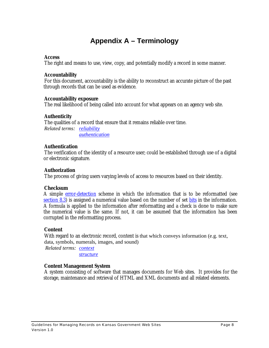# **Appendix A – Terminology**

#### **Access**

The right and means to use, view, copy, and potentially modify a record in some manner.

#### **Accountability**

For this document, accountability is the ability to reconstruct an accurate picture of the past through records that can be used as evidence.

#### **Accountability exposure**

The real likelihood of being called into account for what appears on an agency web site.

#### **Authenticity**

The qualities of a record that ensure that it remains reliable over time.

*Related terms: reliability authentication*

#### **Authentication**

The verification of the identity of a resource user; could be established through use of a digital or electronic signature.

#### **Authorization**

The process of giving users varying levels of access to resources based on their identity.

#### **Checksum**

A simple error-detection scheme in which the information that is to be reformatted (see section 8.3) is assigned a numerical value based on the number of set bits in the information. A formula is applied to the information after reformatting and a check is done to make sure the numerical value is the same. If not, it can be assumed that the information has been corrupted in the reformatting process.

#### **Content**

With regard to an electronic record, content is that which conveys information (e.g. text, data, symbols, numerals, images, and sound)

*Related terms: context*

*structure*

#### **Content Management System**

A system consisting of software that manages documents for Web sites. It provides for the storage, maintenance and retrieval of HTML and XML documents and all related elements.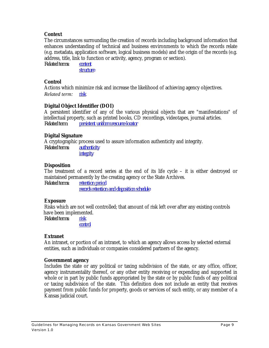#### **Context**

The circumstances surrounding the creation of records including background information that enhances understanding of technical and business environments to which the records relate (e.g. metadata, application software, logical business models) and the origin of the records (e.g. address, title, link to function or activity, agency, program or section). *Related terms: content*

*structure*

#### **Control**

Actions which minimize risk and increase the likelihood of achieving agency objectives. *Related term: risk*

#### **Digital Object Identifier (DOI)**

A persistent identifier of any of the various physical objects that are "manifestations" of intellectual property, such as printed books, CD recordings, videotapes, journal articles. *Related term: persistent uniform resource locator*

#### **Digital Signature**

A cryptographic process used to assure information authenticity and integrity. *Related terms: authenticity integrity*

#### **Disposition**

The treatment of a record series at the end of its life cycle – it is either destroyed or maintained permanently by the creating agency or the State Archives.

*Related terms: retention period records retention and disposition schedule*

#### **Exposure**

Risks which are not well controlled; that amount of risk left over after any existing controls have been implemented.

*Related terms: risk control*

#### **Extranet**

An intranet, or portion of an intranet, to which an agency allows access by selected external entities, such as individuals or companies considered partners of the agency.

#### **Government agency**

Includes the state or any political or taxing subdivision of the state, or any office, officer, agency instrumentality thereof, or any other entity receiving or expending and supported in whole or in part by public funds appropriated by the state or by public funds of any political or taxing subdivision of the state. This definition does not include an entity that receives payment from public funds for property, goods or services of such entity, or any member of a Kansas judicial court.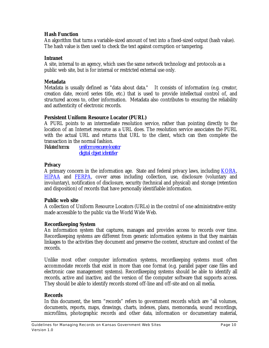#### **Hash Function**

An algorithm that turns a variable-sized amount of text into a fixed-sized output (hash value). The hash value is then used to check the text against corruption or tampering.

#### **Intranet**

A site, internal to an agency, which uses the same network technology and protocols as a public web site, but is for internal or restricted external use only.

#### **Metadata**

Metadata is usually defined as "data about data." It consists of information (e.g. creator, creation date, record series title, etc.) that is used to provide intellectual control of, and structured access to, other information. Metadata also contributes to ensuring the reliability and authenticity of electronic records.

#### **Persistent Uniform Resource Locator (PURL)**

A PURL points to an intermediate resolution service, rather than pointing directly to the location of an Internet resource as a URL does. The resolution service associates the PURL with the actual URL and returns that URL to the client, which can then complete the transaction in the normal fashion.

*Related terms: uniform resource locator digital object identifier*

#### **Privacy**

A primary concern in the information age. State and federal privacy laws, including **KORA**, HIPAA and FERPA, cover areas including collection, use, disclosure (voluntary and involuntary), notification of disclosure, security (technical and physical) and storage (retention and disposition) of records that have personally identifiable information.

#### **Public web site**

A collection of Uniform Resource Locators (URLs) in the control of one administrative entity made accessible to the public via the World Wide Web.

### **Recordkeeping System**

An information system that captures, manages and provides access to records over time. Recordkeeping systems are different from generic information systems in that they maintain linkages to the activities they document and preserve the content, structure and context of the records.

Unlike most other computer information systems, recordkeeping systems must often accommodate records that exist in more than one format (e.g. parallel paper case files and electronic case management systems). Recordkeeping systems should be able to identify all records, active and inactive, and the version of the computer software that supports access. They should be able to identify records stored off-line and off-site and on all media.

#### **Records**

In this document, the term "records" refers to government records which are "all volumes, documents, reports, maps, drawings, charts, indexes, plans, memoranda, sound recordings, microfilms, photographic records and other data, information or documentary material,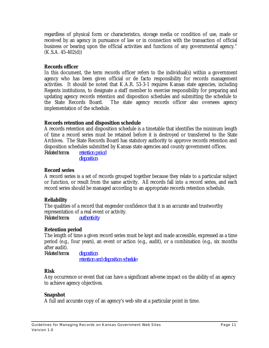regardless of physical form or characteristics, storage media or condition of use, made or received by an agency in pursuance of law or in connection with the transaction of official business or bearing upon the official activities and functions of any governmental agency."  $(K.S.A. 45-402(d))$ 

#### **Records officer**

In this document, the term records officer refers to the individual(s) within a government agency who has been given official or de facto responsibility for records management activities. It should be noted that K.A.R. 53-3-1 requires Kansas state agencies, including Regents institutions, to designate a staff member to exercise responsibility for preparing and updating agency records retention and disposition schedules and submitting the schedule to the State Records Board. The state agency records officer also oversees agency implementation of the schedule.

### **Records retention and disposition schedule**

A records retention and disposition schedule is a timetable that identifies the minimum length of time a record series must be retained before it is destroyed or transferred to the State Archives. The State Records Board has statutory authority to approve records retention and disposition schedules submitted by Kansas state agencies and county government offices. *Related terms: retention period*

*disposition*

### **Record series**

A record series is a set of records grouped together because they relate to a particular subject or function, or result from the same activity. All records fall into a record series, and each record series should be managed according to an appropriate records retention schedule.

### **Reliability**

The qualities of a record that engender confidence that it is an accurate and trustworthy representation of a real event or activity. *Related terms: authenticity*

#### **Retention period**

The length of time a given record series must be kept and made accessible, expressed as a time period (e.g., four years), an event or action (e.g., audit), or a combination (e.g., six months after audit).

*Related terms: disposition retention and disposition schedule*

#### **Risk**

Any occurrence or event that can have a significant adverse impact on the ability of an agency to achieve agency objectives.

#### **Snapshot**

A full and accurate copy of an agency's web site at a particular point in time.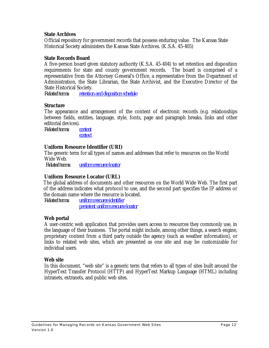#### **State Archives**

Official repository for government records that possess enduring value. The Kansas State Historical Society administers the Kansas State Archives. (K.S.A. 45-405)

#### **State Records Board**

A five-person board given statutory authority (K.S.A. 45-404) to set retention and disposition requirements for state and county government records. The board is comprised of a representative from the Attorney General's Office, a representative from the Department of Administration, the State Librarian, the State Archivist, and the Executive Director of the State Historical Society.

*Related terms: retention and disposition schedule* 

#### **Structure**

The appearance and arrangement of the content of electronic records (e.g. relationships between fields, entities, language, style, fonts, page and paragraph breaks, links and other editorial devices).

*Related terms: content*

*context*

#### **Uniform Resource Identifier (URI)**

The generic term for all types of names and addresses that refer to resources on the World Wide Web.

 *Related terms: uniform resource locator*

#### **Uniform Resource Locator (URL)**

The global address of documents and other resources on the World Wide Web. The first part of the address indicates what protocol to use, and the second part specifies the IP address or the domain name where the resource is located.

*Related terms: uniform resource identifier persistent uniform resource locator*

#### **Web portal**

A user-centric web application that provides users access to resources they commonly use, in the language of their business. The portal might include, among other things, a search engine, proprietary content from a third party outside the agency (such as weather information), or links to related web sites, which are presented as one site and may be customizable for individual users.

#### **Web site**

In this document, "web site" is a generic term that refers to all types of sites built around the HyperText Transfer Protocol (HTTP) and HyperText Markup Language (HTML) including intranets, extranets, and public web sites.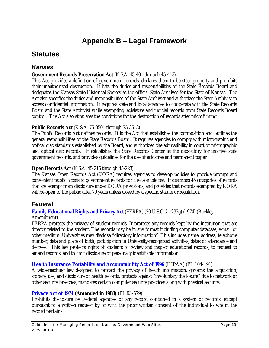# **Appendix B – Legal Framework**

# **Statutes**

### *Kansas*

### **Government Records Preservation Act** (K.S.A. 45-401 through 45-413)

This Act provides a definition of government records, declares them to be state property and prohibits their unauthorized destruction. It lists the duties and responsibilities of the State Records Board and designates the Kansas State Historical Society as the official State Archives for the State of Kansas. The Act also specifies the duties and responsibilities of the State Archivist and authorizes the State Archivist to access confidential information. It requires state and local agencies to cooperate with the State Records Board and the State Archivist while exempting legislative and judicial records from State Records Board control. The Act also stipulates the conditions for the destruction of records after microfilming.

### **Public Records Act** (K.S.A. 75-3501 through 75-3518)

The Public Records Act defines records. It is the Act that establishes the composition and outlines the general responsibilities of the State Records Board. It requires agencies to comply with micrographic and optical disc standards established by the Board, and authorized the admissibility in court of micrographic and optical disc records. It establishes the State Records Center as the depository for inactive state government records, and provides guidelines for the use of acid-free and permanent paper.

### **Open Records Act** (K.S.A. 45-215 through 45-223)

The Kansas Open Records Act (KORA) requires agencies to develop policies to provide prompt and convenient public access to government records for a reasonable fee. It describes 45 categories of records that are exempt from disclosure under KORA provisions, and provides that records exempted by KORA will be open to the public after 70 years unless closed by a specific statute or regulation.

### *Federal*

# **Family Educational Rights and Privacy Act** (FERPA) (20 U.S.C. § 1232g) (1974) (Buckley

Amendment)

FERPA protects the privacy of student records. It protects any records kept by the institution that are directly related to the student. The records may be in any format including computer database, e-mail, or other medium. Universities may disclose "directory information". This includes name, address, telephone number, data and place of birth, participation in University-recognized activities, dates of attendance and degrees. This law protects rights of students to review and inspect educational records, to request to amend records, and to limit disclosure of personally identifiable information.

### **Health Insurance Portability and Accountability Act of 1996** (HIPAA) (PL 104-191)

A wide-reaching law designed to protect the privacy of health information; governs the acquisition, storage, use, and disclosure of health records; protects against "involuntary disclosure" due to network or other security breaches; mandates certain computer security practices along with physical security.

### **Privacy Act of 1974 (Amended in 1988)** (PL 93-579)

Prohibits disclosure by Federal agencies of any record contained in a system of records, except pursuant to a written request by or with the prior written consent of the individual to whom the record pertains.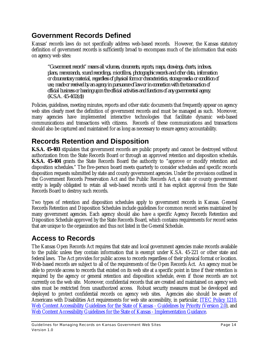# **Government Records Defined**

Kansas' records laws do not specifically address web-based records. However, the Kansas statutory definition of government records is sufficiently broad to encompass much of the information that exists on agency web sites:

*"Government records" means all volumes, documents, reports, maps, drawings, charts, indexes, plans, memoranda, sound recordings, microfilms, photographic records and other data, information or documentary material, regardless of physical form or characteristics, storage media or condition of use, made or received by an agency in pursuance of law or in connection with the transaction of official business or bearing upon the official activities and functions of any governmental agency. (K.S.A. 45-402(d))*

Policies, guidelines, meeting minutes, reports and other static documents that frequently appear on agency web sites clearly meet the definition of government records and must be managed as such. Moreover, many agencies have implemented interactive technologies that facilitate dynamic web-based communications and transactions with citizens. Records of these communications and transactions should also be captured and maintained for as long as necessary to ensure agency accountability.

# **Records Retention and Disposition**

**K.S.A. 45-403** stipulates that government records are public property and cannot be destroyed without authorization from the State Records Board or through an approved retention and disposition schedule**. K.S.A. 45-404** grants the State Records Board the authority to "approve or modify retention and disposition schedules." The five-person board meets quarterly to consider schedules and specific records disposition requests submitted by state and county government agencies. Under the provisions outlined in the Government Records Preservation Act and the Public Records Act, a state or county government entity is legally obligated to retain all web-based records until it has explicit approval from the State Records Board to destroy such records.

Two types of retention and disposition schedules apply to government records in Kansas. General Records Retention and Disposition Schedules include guidelines for common record series maintained by many government agencies. Each agency should also have a specific Agency Records Retention and Disposition Schedule approved by the State Records Board, which contains requirements for record series that are unique to the organization and thus not listed in the General Schedule.

# **Access to Records**

The Kansas Open Records Act requires that state and local government agencies make records available to the public unless they contain information that is exempt under K.S.A. 45-221 or other state and federal laws. The Act provides for public access to records regardless of their physical format or location. Web-based records are subject to all of the requirements of the Open Records Act. An agency must be able to provide access to records that existed on its web site at a specific point in time if their retention is required by the agency or general retention and disposition schedule, even if those records are not currently on the web site. Moreover, confidential records that are created and maintained on agency web sites must be restricted from unauthorized access. Robust security measures must be developed and deployed to protect confidential records on agency web sites. Agencies also should be aware of Americans with Disabilities Act requirements for web site accessibility, in particular, ITEC Policy 1210, Web Content Accessibility Guidelines for the State of Kansas - Guidelines by Priority (Version 2.0), and Web Content Accessibility Guidelines for the State of Kansas - Implementation Guidance.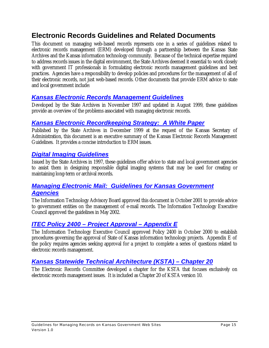# **Electronic Records Guidelines and Related Documents**

This document on managing web-based records represents one in a series of guidelines related to electronic records management (ERM) developed through a partnership between the Kansas State Archives and the Kansas information technology community. Because of the technical expertise required to address records issues in the digital environment, the State Archives deemed it essential to work closely with government IT professionals in formulating electronic records management guidelines and best practices. Agencies have a responsibility to develop policies and procedures for the management of all of their electronic records, not just web-based records. Other documents that provide ERM advice to state and local government include:

### *Kansas Electronic Records Management Guidelines*

Developed by the State Archives in November 1997 and updated in August 1999, these guidelines provide an overview of the problems associated with managing electronic records.

### *Kansas Electronic Recordkeeping Strategy: A White Paper*

Published by the State Archives in December 1999 at the request of the Kansas Secretary of Administration, this document is an executive summary of the Kansas Electronic Records Management Guidelines. It provides a concise introduction to ERM issues.

### *Digital Imaging Guidelines*

Issued by the State Archives in 1997, these guidelines offer advice to state and local government agencies to assist them in designing responsible digital imaging systems that may be used for creating or maintaining long-term or archival records.

### *Managing Electronic Mail: Guidelines for Kansas Government Agencies*

The Information Technology Advisory Board approved this document in October 2001 to provide advice to government entities on the management of e-mail records. The Information Technology Executive Council approved the guidelines in May 2002.

### *ITEC Policy 2400 – Project Approval – Appendix E*

The Information Technology Executive Council approved Policy 2400 in October 2000 to establish procedures governing the approval of State of Kansas information technology projects. Appendix E of the policy requires agencies seeking approval for a project to complete a series of questions related to electronic records management.

### *Kansas Statewide Technical Architecture (KSTA) – Chapter 20*

The Electronic Records Committee developed a chapter for the KSTA that focuses exclusively on electronic records management issues. It is included as Chapter 20 of KSTA version 10.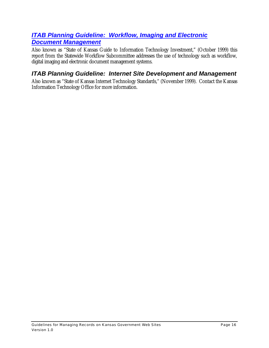### *ITAB Planning Guideline: Workflow, Imaging and Electronic Document Management*

Also known as "State of Kansas Guide to Information Technology Investment," (October 1999) this report from the Statewide Workflow Subcommittee addresses the use of technology such as workflow, digital imaging and electronic document management systems.

### *ITAB Planning Guideline: Internet Site Development and Management*

Also known as "State of Kansas Internet Technology Standards," (November 1999). Contact the Kansas Information Technology Office for more information.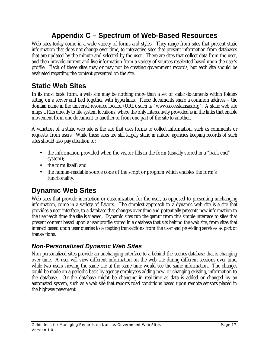# **Appendix C – Spectrum of Web-Based Resources**

Web sites today come in a wide variety of forms and styles. They range from sites that present static information that does not change over time, to interactive sites that present information from databases that are updated by the minute and selected by the user. There are sites that collect data from the user, and then provide current and live information from a variety of sources reselected based upon the user's profile. Each of these sites may or may not be creating government records, but each site should be evaluated regarding the content presented on the site.

# **Static Web Sites**

In its most basic form, a web site may be nothing more than a set of static documents within folders sitting on a server and tied together with hyperlinks. These documents share a common address – the domain name in the universal resource locator (URL), such as "www.accesskansas.org". A static web site maps URLs directly to file system locations, where the only interactivity provided is in the links that enable movement from one document to another or from one part of the site to another.

A variation of a static web site is the site that uses forms to collect information, such as comments or requests, from users. While these sites are still largely static in nature, agencies keeping records of such sites should also pay attention to:

- the information provided when the visitor fills in the form (usually stored in a "back end" system);
- the form itself: and
- the human-readable source code of the script or program which enables the form's functionality.

# **Dynamic Web Sites**

Web sites that provide interaction or customization for the user, as opposed to presenting unchanging information, come in a variety of flavors. The simplest approach to a dynamic web site is a site that provides a user interface, to a database that changes over time and potentially presents new information to the user each time the site is viewed. Dynamic sites run the gamut from this simple interface to sites that present content based upon a user profile stored in a database that sits behind the web site, from sites that interact based upon user queries to accepting transactions from the user and providing services as part of transactions.

# *Non-Personalized Dynamic Web Sites*

Non-personalized sites provide an unchanging interface to a behind-the-scenes database that is changing over time. A user will view different information on the web site during different sessions over time, while two users viewing the same site at the same time would see the same information. The changes could be made on a periodic basis by agency employees adding new, or changing existing, information to the database. Or the database might be changing in real-time as data is added or changed by an automated system, such as a web site that reports road conditions based upon remote sensors placed in the highway pavement.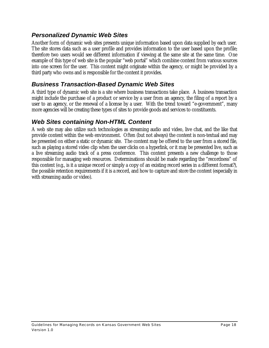### *Personalized Dynamic Web Sites*

Another form of dynamic web sites presents unique information based upon data supplied by each user. The site stores data such as a user profile and provides information to the user based upon the profile; therefore two users would see different information if viewing at the same site at the same time. One example of this type of web site is the popular "web portal" which combine content from various sources into one screen for the user. This content might originate within the agency, or might be provided by a third party who owns and is responsible for the content it provides.

### *Business Transaction-Based Dynamic Web Sites*

A third type of dynamic web site is a site where business transactions take place. A business transaction might include the purchase of a product or service by a user from an agency, the filing of a report by a user to an agency, or the renewal of a license by a user. With the trend toward "e-government", many more agencies will be creating these types of sites to provide goods and services to constituents.

### *Web Sites containing Non-HTML Content*

A web site may also utilize such technologies as streaming audio and video, live chat, and the like that provide content within the web environment. Often (but not always) the content is non-textual and may be presented on either a static or dynamic site. The content may be offered to the user from a stored file, such as playing a stored video clip when the user clicks on a hyperlink, or it may be presented live, such as a live streaming audio track of a press conference. This content presents a new challenge to those responsible for managing web resources. Determinations should be made regarding the "recordness" of this content (e.g., is it a unique record or simply a copy of an existing record series in a different format?), the possible retention requirements if it is a record, and how to capture and store the content (especially in with streaming audio or video).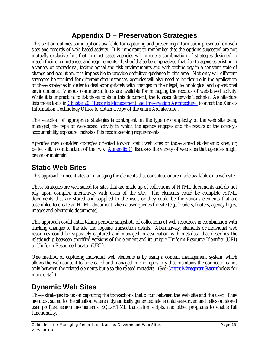# **Appendix D – Preservation Strategies**

This section outlines some options available for capturing and preserving information presented on web sites and records of web-based activity. It is important to remember that the options suggested are not mutually exclusive, but that in most cases agencies will pursue a combination of strategies designed to match their circumstances and requirements. It should also be emphasized that due to agencies existing in a variety of operational, technological and risk environments and with technology in a constant state of change and evolution, it is impossible to provide definitive guidance in this area. Not only will different strategies be required for different circumstances, agencies will also need to be flexible in the application of these strategies in order to deal appropriately with changes in their legal, technological and operational environments. Various commercial tools are available for managing the records of web-based activity. While it is impractical to list those tools in this document, the Kansas Statewide Technical Architecture lists those tools in Chapter 20, "Records Management and Preservation Architecture" (contact the Kansas Information Technology Office to obtain a copy of the entire Architecture).

The selection of appropriate strategies is contingent on the type or complexity of the web site being managed, the type of web-based activity in which the agency engages and the results of the agency's accountability exposure analysis of its recordkeeping requirements.

Agencies may consider strategies oriented toward static web sites or those aimed at dynamic sites, or, better still, a combination of the two. Appendix  $C$  discusses the variety of web sites that agencies might create or maintain.

# **Static Web Sites**

This approach concentrates on managing the elements that constitute or are made available on a web site.

These strategies are well suited for sites that are made up of collections of HTML documents and do not rely upon complex interactivity with users of the site. The elements could be complete HTML documents that are stored and supplied to the user, or they could be the various elements that are assembled to create an HTML document when a user queries the site (e.g., headers, footers, agency logos, images and electronic documents).

This approach could entail taking periodic snapshots of collections of web resources in combination with tracking changes to the site and logging transaction details. Alternatively, elements or individual web resources could be separately captured and managed in association with metadata that describes the relationship between specified versions of the element and its unique Uniform Resource Identifier (URI) or Uniform Resource Locator (URL).

One method of capturing individual web elements is by using a content management system, which allows the web content to be created and managed in one repository that maintains the connections not only between the related elements but also the related metadata. (See *Content Management Systems* below for more detail.)

# **Dynamic Web Sites**

These strategies focus on capturing the transactions that occur between the web site and the user. They are most suited to the situation where a dynamically generated site is database-driven and relies on stored user profiles, search mechanisms, SQL-HTML translation scripts, and other programs to enable full functionality.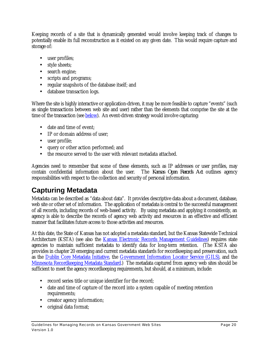Keeping records of a site that is dynamically generated would involve keeping track of changes to potentially enable its full reconstruction as it existed on any given date. This would require capture and storage of:

- user profiles;
- style sheets;
- search engine;
- scripts and programs;
- regular snapshots of the database itself; and
- database transaction logs.

Where the site is highly interactive or application-driven, it may be more feasible to capture "events" (such as single transactions between web site and user) rather than the elements that comprise the site at the time of the transaction (see **below**). An event-driven strategy would involve capturing:

- date and time of event;
- IP or domain address of user:
- user profile;
- query or other action performed; and
- the resource served to the user with relevant metadata attached.

Agencies need to remember that some of these elements, such as IP addresses or user profiles, may contain confidential information about the user. The *Kansas Open Records Act* outlines agency responsibilities with respect to the collection and security of personal information.

# **Capturing Metadata**

Metadata can be described as "data about data". It provides descriptive data about a document, database, web site or other set of information. The application of metadata is central to the successful management of all records, including records of web-based activity. By using metadata and applying it consistently, an agency is able to describe the records of agency web activity and resources in an effective and efficient manner that facilitates future access to those activities and resources.

At this date, the State of Kansas has not adopted a metadata standard, but the Kansas Statewide Technical Architecture (KSTA) (see also the Kansas Electronic Records Management Guidelines) requires state agencies to maintain sufficient metadata to identify data for long-term retention. (The KSTA also provides in chapter 20 emerging and current metadata standards for recordkeeping and preservation, such as the Dublin Core Metadata Initiative, the Government Information Locator Service (GILS), and the Minnesota Recordkeeping Metadata Standard.) The metadata captured from agency web sites should be sufficient to meet the agency recordkeeping requirements, but should, at a minimum, include:

- record series title or unique identifier for the record;
- date and time of capture of the record into a system capable of meeting retention requirements;
- creator agency information;
- original data format;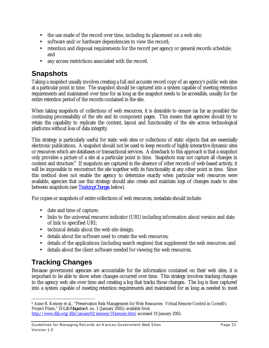- the use made of the record over time, including its placement on a web site;
- software and/or hardware dependencies to view the record;
- retention and disposal requirements for the record per agency or general records schedule; and
- any access restrictions associated with the record.

# **Snapshots**

Taking a snapshot usually involves creating a full and accurate record copy of an agency's public web sites at a particular point in time. The snapshot should be captured into a system capable of meeting retention requirements and maintained over time for as long as the snapshot needs to be accessible, usually for the entire retention period of the records contained in the site.

When taking snapshots of collections of web resources, it is desirable to ensure (as far as possible) the continuing processability of the site and its component pages. This means that agencies should try to retain the capability to replicate the content, layout and functionality of the site across technological platforms without loss of data integrity.

This strategy is particularly useful for static web sites or collections of static objects that are essentially electronic publications. A snapshot should not be used to keep records of highly interactive dynamic sites or resources which are databases or transactional services. A drawback to this approach is that a snapshot only provides a picture of a site at a particular point in time. Snapshots may not capture all changes in content and structure.<sup>6</sup> If snapshots are captured in the absence of other records of web-based activity, it will be impossible to reconstruct the site together with its functionality at any other point in time. Since this method does not enable the agency to determine exactly when particular web resources were available, agencies that use this strategy should also create and maintain logs of changes made to sites between snapshots (see *Tracking Changes*, below).

For copies or snapshots of entire collections of web resources, metadata should include:

- date and time of capture;
- links to the universal resource indicator (URI) including information about version and date of link to specified URI;
- technical details about the web site design;
- details about the software used to create the web resources;
- details of the applications (including search engines) that supplement the web resources; and
- details about the client software needed for viewing the web resources.

# **Tracking Changes**

Because government agencies are accountable for the information contained on their web sites, it is important to be able to show when changes occurred over time. This strategy involves tracking changes to the agency web site over time and creating a log that tracks those changes. The log is then captured into a system capable of meeting retention requirements and maintained for as long as needed to meet

 $\overline{a}$ 6 Anne R. Kenney et al., "Preservation Risk Management for Web Resources: Virtual Remote Control in Cornell's Project Prism," *D-Lib Magazine* 8, no. 1 (January 2002); available from http://www.dlib.org/dlib/january02/kenney/01kenney.html; accessed 19 January 2002.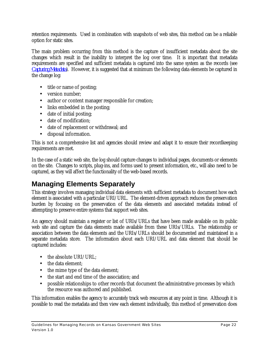retention requirements. Used in combination with snapshots of web sites, this method can be a reliable option for static sites.

The main problem occurring from this method is the capture of insufficient metadata about the site changes which result in the inability to interpret the log over time. It is important that metadata requirements are specified and sufficient metadata is captured into the same system as the records (see *Capturing Metadata*). However, it is suggested that at minimum the following data elements be captured in the change log:

- title or name of posting;
- version number:
- author or content manager responsible for creation;
- links embedded in the posting;
- date of initial posting;
- date of modification;
- date of replacement or withdrawal; and
- disposal information.

This is not a comprehensive list and agencies should review and adapt it to ensure their recordkeeping requirements are met.

In the case of a static web site, the log should capture changes to individual pages, documents or elements on the site. Changes to scripts, plug-ins, and forms used to present information, etc., will also need to be captured, as they will affect the functionality of the web-based records.

# **Managing Elements Separately**

This strategy involves managing individual data elements with sufficient metadata to document how each element is associated with a particular URI/URL. The element-driven approach reduces the preservation burden by focusing on the preservation of the data elements and associated metadata instead of attempting to preserve entire systems that support web sites.

An agency should maintain a register or list of URIs/URLs that have been made available on its public web site and capture the data elements made available from these URIs/URLs. The relationship or association between the data elements and the URIs/URLs should be documented and maintained in a separate metadata store. The information about each URI/URL and data element that should be captured includes:

- the absolute URI/URL:
- the data element;
- the mime type of the data element;
- the start and end time of the association; and
- possible relationships to other records that document the administrative processes by which the resource was authored and published.

This information enables the agency to accurately track web resources at any point in time. Although it is possible to read the metadata and then view each element individually, this method of preservation does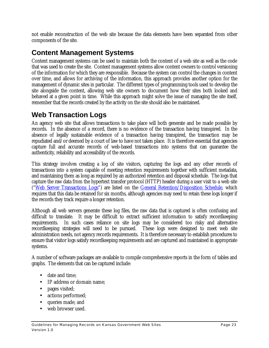not enable reconstruction of the web site because the data elements have been separated from other components of the site.

# **Content Management Systems**

Content management systems can be used to maintain both the content of a web site as well as the code that was used to create the site. Content management systems allow content owners to control versioning of the information for which they are responsible. Because the system can control the changes in content over time, and allows for archiving of the information, this approach provides another option for the management of dynamic sites in particular. The different types of programming tools used to develop the site alongside the content, allowing web site owners to document how their sites both looked and behaved at a given point in time. While this approach might solve the issue of managing the site itself, remember that the records created by the activity on the site should also be maintained.

# **Web Transaction Logs**

An agency web site that allows transactions to take place will both generate and be made possible by records. In the absence of a record, there is no evidence of the transaction having transpired. In the absence of legally sustainable evidence of a transaction having transpired, the transaction may be repudiated and/or deemed by a court of law to have not taken place. It is therefore essential that agencies capture full and accurate records of web-based transactions into systems that can guarantee the authenticity, reliability and accessibility of the records.

This strategy involves creating a log of site visitors, capturing the logs and any other records of transactions into a system capable of meeting retention requirements together with sufficient metadata, and maintaining them as long as required by an authorized retention and disposal schedule. The logs that capture the raw data from the hypertext transfer protocol (HTTP) header during a user visit to a web site ("Web Server Transactions Logs") are listed on the General Retention/Disposition Schedule, which requires that this data be retained for six months, although agencies may need to retain these logs longer if the records they track require a longer retention.

Although all web servers generate these log files, the raw data that is captured is often confusing and difficult to translate. It may be difficult to extract sufficient information to satisfy recordkeeping requirements. In such cases reliance on site logs may be considered too risky and alternative recordkeeping strategies will need to be pursued. These logs were designed to meet web site administration needs, not agency records requirements. It is therefore necessary to establish procedures to ensure that visitor logs satisfy recordkeeping requirements and are captured and maintained in appropriate systems.

A number of software packages are available to compile comprehensive reports in the form of tables and graphs. The elements that can be captured include:

- date and time;
- IP address or domain name:
- pages visited;
- actions performed;
- queries made; and
- web browser used.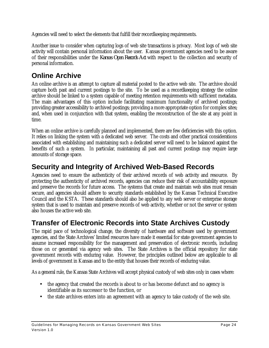Agencies will need to select the elements that fulfill their recordkeeping requirements.

Another issue to consider when capturing logs of web site transactions is privacy. Most logs of web site activity will contain personal information about the user. Kansas government agencies need to be aware of their responsibilities under the *Kansas Open Records Act* with respect to the collection and security of personal information.

# **Online Archive**

An online archive is an attempt to capture all material posted to the active web site. The archive should capture both past and current postings to the site. To be used as a recordkeeping strategy the online archive should be linked to a system capable of meeting retention requirements with sufficient metadata. The main advantages of this option include facilitating maximum functionality of archived postings; providing greater accessibility to archived postings; providing a more appropriate option for complex sites; and, when used in conjunction with that system, enabling the reconstruction of the site at any point in time.

When an online archive is carefully planned and implemented, there are few deficiencies with this option. It relies on linking the system with a dedicated web server. The costs and other practical considerations associated with establishing and maintaining such a dedicated server will need to be balanced against the benefits of such a system. In particular, maintaining all past and current postings may require large amounts of storage space.

# **Security and Integrity of Archived Web-Based Records**

Agencies need to ensure the authenticity of their archived records of web activity and resource. By protecting the authenticity of archived records, agencies can reduce their risk of accountability exposure and preserve the records for future access. The systems that create and maintain web sites must remain secure, and agencies should adhere to security standards established by the Kansas Technical Executive Council and the KSTA. These standards should also be applied to any web server or enterprise storage system that is used to maintain and preserve records of web activity, whether or not the server or system also houses the active web site.

# **Transfer of Electronic Records into State Archives Custody**

The rapid pace of technological change, the diversity of hardware and software used by government agencies, and the State Archives' limited resources have made it essential for state government agencies to assume increased responsibility for the management and preservation of electronic records, including those on or generated via agency web sites. The State Archives is the official repository for state government records with enduring value. However, the principles outlined below are applicable to all levels of government in Kansas and to the entity that houses their records of enduring value.

As a general rule, the Kansas State Archives will accept physical custody of web sites only in cases where:

- the agency that created the records is about to or has become defunct and no agency is identifiable as its successor to the function, or
- the state archives enters into an agreement with an agency to take custody of the web site.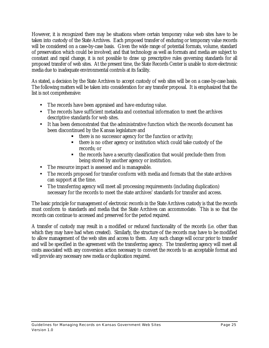However, it is recognized there may be situations where certain temporary value web sites have to be taken into custody of the State Archives. Each proposed transfer of enduring or temporary value records will be considered on a case-by-case basis. Given the wide range of potential formats, volume, standard of preservation which could be involved; and that technology as well as formats and media are subject to constant and rapid change, it is not possible to draw up prescriptive rules governing standards for all proposed transfer of web sites. At the present time, the State Records Center is unable to store electronic media due to inadequate environmental controls at its facility.

As stated, a decision by the State Archives to accept custody of web sites will be on a case-by-case basis. The following matters will be taken into consideration for any transfer proposal. It is emphasized that the list is not comprehensive:

- The records have been appraised and have enduring value.
- The records have sufficient metadata and contextual information to meet the archives descriptive standards for web sites.
- It has been demonstrated that the administrative function which the records document has been discontinued by the Kansas legislature and
	- ß there is no successor agency for the function or activity;
	- ß there is no other agency or institution which could take custody of the records; or
	- ß the records have a security classification that would preclude them from being stored by another agency or institution.
- The resource impact is assessed and is manageable.
- The records proposed for transfer conform with media and formats that the state archives can support at the time.
- The transferring agency will meet all processing requirements (including duplication) necessary for the records to meet the state archives' standards for transfer and access.

The basic principle for management of electronic records in the State Archives custody is that the records must conform to standards and media that the State Archives can accommodate. This is so that the records can continue to accessed and preserved for the period required.

A transfer of custody may result in a modified or reduced functionality of the records (i.e. other than which they may have had when created). Similarly, the structure of the records may have to be modified to allow management of the web sites and access to them. Any such change will occur prior to transfer and will be specified in the agreement with the transferring agency. The transferring agency will meet all costs associated with any conversion action necessary to convert the records to an acceptable format and will provide any necessary new media or duplication required.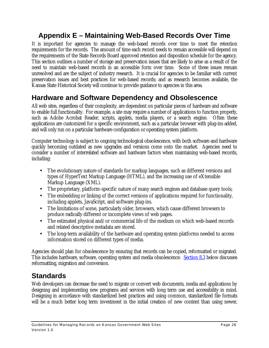# **Appendix E – Maintaining Web-Based Records Over Time**

It is important for agencies to manage the web-based records over time to meet the retention requirements for the records. The amount of time each record needs to remain accessible will depend on the requirements of the State Records Board approved retention and disposition schedule for the agency. This section outlines a number of storage and preservation issues that are likely to arise as a result of the need to maintain web-based records in an accessible form over time. Some of these issues remain unresolved and are the subject of industry research. It is crucial for agencies to be familiar with current preservation issues and best practices for web-based records; and as research becomes available, the Kansas State Historical Society will continue to provide guidance to agencies in this area.

# **Hardware and Software Dependency and Obsolescence**

All web sites, regardless of their complexity, are dependent on particular pieces of hardware and software to enable full functionality. For example, a site may require a number of applications to function properly, such as Adobe Acrobat Reader, scripts, applets, media players, or a search engine. Often these applications are customized for a specific environment, such as a particular browser with plug-ins added, and will only run on a particular hardware configuration or operating system platform.

Computer technology is subject to ongoing technological obsolescence, with both software and hardware quickly becoming outdated as new upgrades and versions come onto the market. Agencies need to consider a number of interrelated software and hardware factors when maintaining web-based records, including:

- The evolutionary nature of standards for markup languages, such as different versions and types of HyperText Markup Language (HTML), and the increasing use of eXtensible Markup Language (XML).
- The proprietary, platform-specific nature of many search engines and database query tools;
- The embedding or linking of the correct versions of applications required for functionality, including applets, JavaScript, and software plug-ins.
- The limitations of some, particularly older, browsers, which cause different browsers to produce radically different or incomplete views of web pages.
- The estimated physical and/or commercial life of the medium on which web-based records and related descriptive metadata are stored.
- The long-term availability of the hardware and operating system platforms needed to access information stored on different types of media.

Agencies should plan for obsolescence by ensuring that records can be copied, reformatted or migrated. This includes hardware, software, operating system and media obsolescence. Section 8.3 below discusses reformatting, migration and conversion.

# **Standards**

Web developers can decrease the need to migrate or convert web documents, media and applications by designing and implementing new programs and services with long term use and accessibility in mind. Designing in accordance with standardized best practices and using common, standardized file formats will be a much better long term investment in the initial creation of new content than using newer,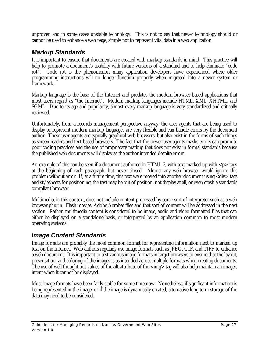unproven and in some cases unstable technology. This is not to say that newer technology should or cannot be used to enhance a web page, simply not to represent vital data in a web application.

### *Markup Standards*

It is important to ensure that documents are created with markup standards in mind. This practice will help to promote a document's usability with future versions of a standard and to help eliminate "code rot". Code rot is the phenomenon many application developers have experienced where older programming instructions will no longer function properly when migrated into a newer system or framework.

Markup language is the base of the Internet and predates the modern browser based applications that most users regard as "the Internet". Modern markup languages include HTML, XML, XHTML, and SGML. Due to its age and popularity, almost every markup language is very standardized and critically reviewed.

Unfortunately, from a records management perspective anyway, the user agents that are being used to display or represent modern markup languages are very flexible and can handle errors by the document author. These user agents are typically graphical web browsers, but also exist in the forms of such things as screen readers and text-based browsers. The fact that the newer user agents masks errors can promote poor coding practices and the use of proprietary markup that does not exist in formal standards because the published web documents will display as the author intended despite errors.

An example of this can be seen if a document authored in HTML 3, with text marked up with  $p$  tags at the beginning of each paragraph, but never closed. Almost any web browser would ignore this problem without error. If, at a future time, this text were moved into another document using <div> tags and stylesheets for positioning, the text may be out of position, not display at all, or even crash a standards compliant browser.

Multimedia, in this context, does not include content processed by some sort of interpreter such as a web browser plug in. Flash movies, Adobe Acrobat files and that sort of content will be addressed in the next section. Rather, multimedia content is considered to be image, audio and video formatted files that can either be displayed on a standalone basis, or interpreted by an application common to most modern operating systems.

### *Image Content Standards*

Image formats are probably the most common format for representing information next to marked up text on the Internet. Web authors regularly use image formats such as JPEG, GIF, and TIFF to enhance a web document. It is important to test various image formats in target browsers to ensure that the layout, presentation, and coloring of the images is as intended across multiple formats when creating documents. The use of well thought out values of the **alt** attribute of the <img> tag will also help maintain an image's intent when it cannot be displayed.

Most image formats have been fairly stable for some time now. Nonetheless, if significant information is being represented in the image, or if the image is dynamically created, alternative long term storage of the data may need to be considered.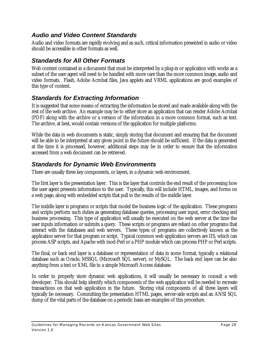### *Audio and Video Content Standards*

Audio and video formats are rapidly evolving and as such, critical information presented in audio or video should be accessible in other formats as well.

### *Standards for All Other Formats*

Web content contained in a document that must be interpreted by a plug-in or application with works as a subset of the user agent will need to be handled with more care than the more common image, audio and video formats. Flash, Adobe Acrobat files, Java applets and VRML applications are good examples of this type of content.

### *Standards for Extracting Information*

It is suggested that some means of extracting the information be stored and made available along with the rest of the web archive. An example may be to either store an application that can render Adobe Acrobat (PDF) along with the archive or a version of the information in a more common format, such as text. The archive, at best, would contain versions of the application for multiple platforms.

While the data in web documents is static, simply storing that document and ensuring that the document will be able to be interpreted at any given point in the future should be sufficient. If the data is generated at the time it is processed, however, additional steps may be in order to ensure that the information accessed from a web document can be retrieved.

### *Standards for Dynamic Web Environments*

There are usually three key components, or layers, in a dynamic web environment.

The first layer is the presentation layer. This is the layer that controls the end result of the processing how the user agent presents information to the user. Typically, this will include HTML, images, and forms on a web page, along with embedded scripts that pull in the results of the middle layer.

The middle layer is programs or scripts that model the business logic of the application. These programs and scripts perform such duties as generating database queries, processing user input, error checking and business processing. This type of application will usually be executed on the web server at the time the user inputs information or submits a query. These scripts or programs are reliant on other programs that interact with the databases and web servers. These types of programs are collectively known as the application server for that program or script. Typical common web application servers are IIS, which can process ASP scripts, and Apache with mod-Perl or a PHP module which can process PHP or Perl scripts.

The final, or back end layer is a database or representation of data in some format, typically a relational database such as Oracle, MSSQL (Microsoft SQL server), or MySQL. The back end layer can be also anything from a text or XML file to a simple Microsoft Access database.

In order to properly store dynamic web applications, it will usually be necessary to consult a web developer. This should help identify which components of the web application will be needed to recreate transactions on that web application in the future. Storing vital components of all three layers will typically be necessary. Committing the presentation HTML pages, server-side scripts and an ANSI SQL dump of the vital parts of the database on a periodic basis are examples of this procedure.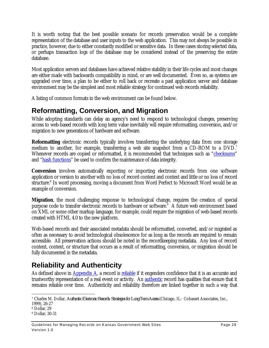It is worth noting that the best possible scenario for records preservation would be a complete representation of the database and user inputs to the web application. This may not always be possible in practice, however, due to either constantly modified or sensitive data. In these cases storing selected data, or perhaps transaction logs of the database may be considered instead of the preserving the entire database.

Most application servers and databases have achieved relative stability in their life cycles and most changes are either made with backwards compatibility in mind, or are well documented. Even so, as systems are upgraded over time, a plan to be either to roll back or recreate a past application server and database environment may be the simplest and most reliable strategy for continued web records reliability.

A listing of common formats in the web environment can be found below.

# **Reformatting, Conversion, and Migration**

While adopting standards can delay an agency's need to respond to technological changes, preserving access to web-based records with long term value inevitably will require reformatting, conversion, and/or migration to new generations of hardware and software.

**Reformatting** electronic records typically involves transferring the underlying data from one storage medium to another, for example, transferring a web site snapshot from a CD-ROM to a DVD.<sup>7</sup> Whenever records are copied or reformatted, it is recommended that techniques such as "checksums" and "hash functions" be used to confirm the maintenance of data integrity.

**Conversion** involves automatically exporting or importing electronic records from one software application or version to another with no loss of record content and context and little or no loss of record structure.<sup>8</sup> In word processing, moving a document from Word Perfect to Microsoft Word would be an example of conversion.

**Migration**, the most challenging response to technological change, requires the creation of special purpose code to transfer electronic records to hardware or software.<sup>9</sup> A future web environment based on XML or some other markup language, for example, could require the migration of web-based records created with HTML 4.0 to the new platform.

Web-based records and their associated metadata should be reformatted, converted, and/or migrated as often as necessary to avoid technological obsolescence for as long as the records are required to remain accessible. All preservation actions should be noted in the recordkeeping metadata. Any loss of record content, context, or structure that occurs as a result of reformatting, conversion, or migration should be fully documented in the metadata.

# **Reliability and Authenticity**

As defined above in Appendix A, a record is reliable if it engenders confidence that it is an accurate and trustworthy representation of a real event or activity. An authentic record has qualities that ensure that it remains reliable over time. Authenticity and reliability therefore are linked together in such a way that

 $\overline{a}$ 7 Charles M. Dollar, *Authentic Electronic Records: Strategies for Long-Term Access* (Chicago, IL: Cohasset Associates, Inc.,

<sup>1999), 26-27</sup>

<sup>8</sup> Dollar, 29

<sup>9</sup> Dollar, 30-31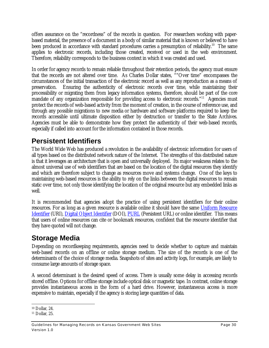offers assurance on the "recordness" of the records in question. For researchers working with paperbased material, the presence of a document in a body of similar material that is known or believed to have been produced in accordance with standard procedures carries a presumption of reliability.<sup>10</sup> The same applies to electronic records, including those created, received or used in the web environment. Therefore, reliability corresponds to the business context in which it was created and used.

In order for agency records to remain reliable throughout their retention periods, the agency must ensure that the records are not altered over time. As Charles Dollar states, ""Over time" encompasses the circumstances of the initial transaction of the electronic record as well as any reproduction as a means of preservation. Ensuring the authenticity of electronic records over time, while maintaining their processibility or migrating them from legacy information systems, therefore, should be part of the core mandate of any organization responsible for providing access to electronic records."<sup>11</sup> Agencies must protect the records of web-based activity from the moment of creation, in the course of reference use, and through any possible migrations to new media or hardware and software platforms required to keep the records accessible until ultimate disposition either by destruction or transfer to the State Archives. Agencies must be able to demonstrate how they protect the authenticity of their web-based records, especially if called into account for the information contained in those records.

# **Persistent Identifiers**

The World Wide Web has produced a revolution in the availability of electronic information for users of all types based on the distributed network nature of the Internet. The strengths of this distributed nature is that it leverages an architecture that is open and universally deployed. Its major weakness relates to the almost universal use of web identifiers that are based on the location of the digital resources they identify and which are therefore subject to change as resources move and systems change. One of the keys to maintaining web-based resources is the ability to rely on the links between the digital resources to remain static over time, not only those identifying the location of the original resource but any embedded links as well.

It is recommended that agencies adopt the practice of using persistent identifiers for their online resources. For as long as a given resource is available online it should have the same Uniform Resource Identifier (URI), Digital Object Identifier (DOI), PURL (Persistent URL) or online identifier. This means that users of online resources can cite or bookmark resources, confident that the resource identifier that they have quoted will not change.

# **Storage Media**

Depending on recordkeeping requirements, agencies need to decide whether to capture and maintain web-based records on an offline or online storage medium. The size of the records is one of the determinants of the choice of storage media. Snapshots of sites and activity logs, for example, are likely to consume large amounts of storage space.

A second determinant is the desired speed of access. There is usually some delay in accessing records stored offline. Options for offline storage include optical disk or magnetic tape. In contrast, online storage provides instantaneous access in the form of a hard drive. However, instantaneous access is more expensive to maintain, especially if the agency is storing large quantities of data.

Guidelines for Managing Records on Kansas Government Web Sites **Page 30** Page 30 Version 1.0

 $\overline{a}$ <sup>10</sup> Dollar, 24.

<sup>11</sup> Dollar, 25.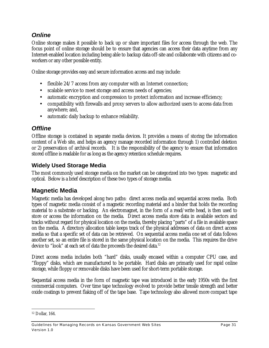### *Online*

Online storage makes it possible to back up or share important files for access through the web. The focus point of online storage should be to ensure that agencies can access their data anytime from any Internet-enabled location including being able to backup data off-site and collaborate with citizens and coworkers or any other possible entity.

Online storage provides easy and secure information access and may include:

- flexible 24/7 access from any computer with an Internet connection;
- scalable service to meet storage and access needs of agencies;
- automatic encryption and compression to protect information and increase efficiency;
- compatibility with firewalls and proxy servers to allow authorized users to access data from anywhere; and,
- automatic daily backup to enhance reliability.

### *Offline*

Offline storage is contained in separate media devices. It provides a means of storing the information content of a Web site, and helps an agency manage recorded information through 1) controlled deletion or 2) preservation of archival records. It is the responsibility of the agency to ensure that information stored offline is readable for as long as the agency retention schedule requires.

### **Widely Used Storage Media**

The most commonly used storage media on the market can be categorized into two types: magnetic and optical. Below is a brief description of these two types of storage media.

### **Magnetic Media**

Magnetic media has developed along two paths: direct access media and sequential access media. Both types of magnetic media consist of a magnetic recording material and a binder that holds the recording material to a substrate or backing. An electromagnet, in the form of a read/write head, is then used to store or access the information on the media. Direct access media store data in available sectors and tracks without regard for physical location on the media, thereby placing "parts" of a file in available space on the media. A directory allocation table keeps track of the physical addresses of data on direct access media so that a specific set of data can be retrieved. On sequential access media one set of data follows another set, so an entire file is stored in the same physical location on the media. This requires the drive device to "look" at each set of data the proceeds the desired data.<sup>12</sup>

Direct access media includes both "hard" disks, usually encased within a computer CPU case, and "floppy" disks, which are manufactured to be portable. Hard disks are primarily used for rapid online storage, while floppy or removable disks have been used for short-term portable storage.

Sequential access media in the form of magnetic tape was introduced in the early 1950s with the first commercial computers. Over time tape technology evolved to provide better tensile strength and better oxide coatings to prevent flaking off of the tape base. Tape technology also allowed more compact tape

 $\overline{a}$ 12 Dollar, 164.

Guidelines for Managing Records on Kansas Government Web Sites **Page 31** Page 31 Version 1.0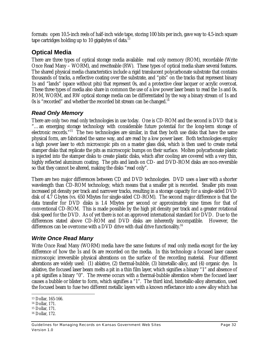formats: open 10.5-inch reels of half-inch wide tape, storing 100 bits per inch, gave way to 4.5-inch square tape cartridges holding up to 10 gigabytes of data.<sup>13</sup>

### **Optical Media**

There are three types of optical storage media available: read only memory (ROM), recordable (Write Once Read Many – WORM), and rewriteable (RW). These types of optical media share several features. The shared physical media characteristics include a rigid translucent polycarbonate substrate that contains thousands of tracks, a reflective coating over the substrate, and "pits" on the tracks that represent binary 1s and "lands" (space without pits) that represent 0s, and a protective clear lacquer or acrylic overcoat. These three types of media also share in common the use of a low power laser beam to read the 1s and 0s. ROM, WORM, and RW optical storage media can be differentiated by the way a binary stream of 1s and 0s is "recorded" and whether the recorded bit stream can be changed. $14$ 

### *Read Only Memory*

There are only two read only technologies in use today. One is CD-ROM and the second is DVD that is "…an emerging storage technology with considerable future potential for the long-term storage of electronic records."<sup>15</sup> The two technologies are similar, in that they both use disks that have the same physical form, are fabricated the same way, and are read by a low power laser. Both technologies employ a high power laser to etch microscopic pits on a master glass disk, which is then used to create metal stamper disks that replicate the pits as microscopic bumps on their surface. Molten polycarbonate plastic is injected into the stamper disks to create plastic disks, which after cooling are covered with a very thin, highly reflected aluminum coating. The pits and lands on CD- and DVD-ROM disks are non-reversible so that they cannot be altered, making the disks "read only".

There are two major differences between CD and DVD technologies. DVD uses a laser with a shorter wavelength than CD-ROM technology, which means that a smaller pit is recorded. Smaller pits mean increased pit density per track and narrower tracks, resulting in a storage capacity for a single-sided DVD disk of 4.7 Gbytes (vs. 650 Mbytes for single-sided CD-ROM). The second major difference is that the data transfer for DVD disks is 1.4 Mbytes per second or approximately nine times for that of conventional CD-ROM. This is made possible by the high pit density per track and a greater rotational disk speed for the DVD. As of yet there is not an approved international standard for DVD. Due to the differences stated above CD-ROM and DVD disks are inherently incompatible. However, the differences can be overcome with a DVD drive with dual drive functionality.<sup>16</sup>

### *Write Once Read Many*

Write Once Read Many (WORM) media have the same features of read only media except for the key difference of how the 1s and 0s are recorded on the media. In this technology a focused laser causes microscopic irreversible physical alterations on the surface of the recording material. Four different alterations are widely used: (1) ablative, (2) thermal-bubble, (3) bimetallic-alloy, and (4) organic dye. In ablative, the focused laser beam melts a pit in a thin film layer, which signifies a binary "1" and absence of a pit signifies a binary "0". The reverse occurs with a thermal-bubble alteration where the focused laser causes a bubble or blister to form, which signifies a "1". The third kind, bimetallic-alloy alternation, used the focused beam to fuse two different metallic layers with a known reflectance into a new alloy which has

<sup>-</sup><sup>13</sup> Dollar, 165-166.

<sup>14</sup> Dollar, 171.

<sup>15</sup> Dollar, 171.

<sup>16</sup> Dollar, 172.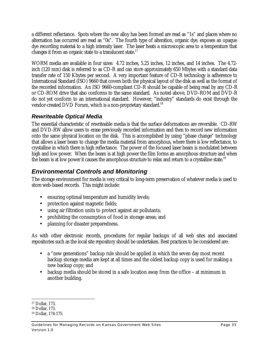a different reflectance. Spots where the new alloy has been formed are read as "1s" and places where no alternation has occurred are read as "0s". The fourth type of alteration, organic dye, exposes an opaque dye recording material to a high intensity laser. The laser heats a microscopic area to a temperature that changes it from an organic state to a translucent state.<sup>17</sup>

WORM media are available in four sizes: 4.72 inches, 5.25 inches, 12 inches, and 14 inches. The 4.72 inch (120 mm) disk is referred to as CD-R and can store approximately 650 Mbytes with a standard data transfer rate of 150 Kbytes per second. A very important feature of CD-R technology is adherence to International Standard (ISO) 9660 that covers both the physical layout of the disk as well as the format of the recorded information. An ISO 9660-compliant CD-R should be capable of being read by any CD-R or CD-ROM drive that also conforms to the same standard. As noted above, DVD-ROM and DVD-R do not yet conform to an international standard. However, "industry" standards do exist through the vendor-created DVD Forum, which is a non-proprietary standard.<sup>18</sup>

### *Rewriteable Optical Media*

The essential characteristic of rewriteable media is that the surface deformations are reversible. CD-RW and DVD-RW allow users to erase previously recorded information and then to record new information onto the same physical location on the disk. This is accomplished by using "phase change" technology that allows a laser beam to change the media material from amorphous, where there is low reflectance, to crystalline in which there is high reflectance. The power of the focused laser beam is modulated between high and low power. When the beam is at high power the film forms an amorphous structure and when the beam is at low power it causes the amorphous structure to relax and return to a crystalline state.<sup>19</sup>

# *Environmental Controls and Monitoring*

The storage environment for media is very critical to long-term preservation of whatever media is used to store web-based records. This might include:

- ensuring optimal temperature and humidity levels;
- protection against magnetic fields;
- using air filtration units to protect against air pollutants;
- prohibiting the consumption of food in storage areas; and
- planning for disaster preparedness.

As with other electronic records, procedures for regular backups of all web sites and associated repositories such as the local site repository should be undertaken. Best practices to be considered are:

- a "new generations" backup rule should be applied in which the seven day most recent backup storage media are kept at all times and the oldest backup copy is used for making a new backup copy; and
- backup media should be stored in a safe location away from the office at minimum in another building.

<sup>-</sup><sup>17</sup> Dollar, 173.

<sup>18</sup> Dollar, 173.

<sup>19</sup> Dollar, 174-175.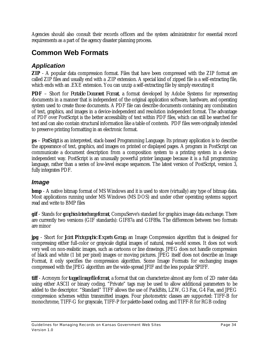Agencies should also consult their records officers and the system administrator for essential record requirements as a part of the agency disaster planning process.

# **Common Web Formats**

### *Application*

**ZIP** - A popular data compression format. Files that have been compressed with the ZIP format are called ZIP files and usually end with a .ZIP extension. A special kind of zipped file is a self-extracting file, which ends with an .EXE extension. You can unzip a self-extracting file by simply executing it

**PDF** – Short for *Portable Document Format*, a format developed by Adobe Systems for representing documents in a manner that is independent of the original application software, hardware, and operating system used to create those documents. A PDF file can describe documents containing any combination of text, graphics, and images in a device-independent and resolution independent format. The advantage of PDF over PostScript is the better accessibility of text within PDF files, which can still be searched for text and can also contain structural information like a table of contents. PDF files were originally intended to preserve printing formatting in an electronic format.

**ps** – *PostScript* is an interpreted, stack-based Programming Language. Its primary application is to describe the appearance of text, graphics, and images on printed or displayed pages. A program in PostScript can communicate a document description from a composition system to a printing system in a deviceindependent way. PostScript is an unusually powerful printer language because it is a full programming language, rather than a series of low-level escape sequences. The latest version of PostScript, version 3, fully integrates PDF.

### *Image*

**bmp** - A native bitmap format of MS Windows and it is used to store (virtually) any type of bitmap data. Most applications running under MS Windows (MS DOS) and under other operating systems support read and write to BMP files

**gif** - Stands for *graphics interchange format*, CompuServe's standard for graphics image data exchange. There are currently two versions (GIF standards): GIF87a and GIF89a. The differences between two formats are minor

**jpg** - Short for *Joint Photographic Experts Group,* an Image Compression algorithm that is designed for compressing either full-color or grayscale digital images of natural, real-world scenes. It does not work very well on non-realistic images, such as cartoons or line drawings. JPEG does not handle compression of black and white (1 bit per pixel) images or moving pictures. JPEG itself does not describe an Image Format, it only specifies the compression algorithm. Some Image Formats for exchanging images compressed with the JPEG algorithm are the wide-spread JFIF and the less popular SPIFF.

**tiff** - Acronym for *tagged image file format*, a format that can characterize almost any form of 2D raster data using either ASCII or binary coding. "Private" tags may be used to allow additional parameters to be added to the descriptor. "Standard" TIFF allows the use of PackBits, LZW, G3 Fax, G4 Fax, and JPEG compression schemes within transmitted images. Four photometric classes are supported: TIFF-B for monochrome, TIFF-G for grayscale, TIFF-P for palette-based coding, and TIFF-R for RGB coding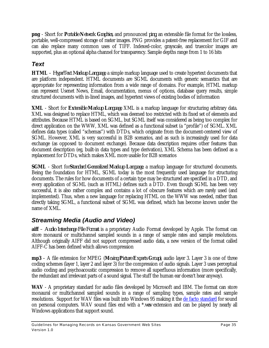**png** - Short for *Portable Network Graphics,* and pronounced *ping,* an extensible file format for the lossless, portable, well-compressed storage of raster images. PNG provides a patent-free replacement for GIF and can also replace many common uses of TIFF. Indexed-color, grayscale, and truecolor images are supported, plus an optional alpha channel for transparency. Sample depths range from 1 to 16 bits

# *Text*

**HTML** – *HyperText Markup Language,* a simple markup language used to create hypertext documents that are platform independent. HTML documents are SGML documents with generic semantics that are appropriate for representing information from a wide range of domains. For example, HTML markup can represent Usenet News, Email, documentation, menus of options, database query results, simple structured documents with in-lined images, and hypertext views of existing bodies of information

**XML** - Short for *Extensible Markup Language,* XML is a markup language for structuring arbitrary data. XML was designed to replace HTML, which was deemed too restricted with its fixed set of elements and attributes. Because HTML is based on SGML, but SGML itself was considered as being too complex for direct application on the WWW, XML was defined as a functional subset (a "profile") of SGML. XML defines data types (called "schemas") with DTDs, which originate from the document-centered view of SGML. However, XML is very successful in B2B scenarios, and as such is increasingly used for data exchange (as opposed to document exchange). Because data description requires other features than document description (eg, built-in data types and type derivation), XML Schema has been defined as a replacement for DTDs, which makes XML more usable for B2B scenarios

**SGML** - Short for*Standard Generalized Markup Language,* a markup language for structured documents. Being the foundation for HTML, SGML today is the most frequently used language for structuring documents. The rules for how documents of a certain type may be structured are specified in a DTD, and every application of SGML (such as HTML) defines such a DTD. Even though SGML has been very successful, it is also rather complex and contains a lot of obscure features which are rarely used (and implemented). Thus, when a new language for replacing HTML on the WWW was needed, rather than directly taking SGML, a functional subset of SGML was defined, which has become known under the name of XML.

### *Streaming Media (Audio and Video)*

**aiff** – *Audio Interchange File Format* is a proprietary Audio Format developed by Apple. The format can store monaural or multichannel sampled sounds in a range of sample rates and sample resolutions. Although originally AIFF did not support compressed audio data, a new version of the format called AIFF-C has been defined which allows compression

**mp3** – A file extension for MPEG (*Moving Picture Experts Group)*, audio layer 3. Layer 3 is one of three coding schemes (layer 1, layer 2 and layer 3) for the compression of audio signals. Layer 3 uses perceptual audio coding and psychoacoustic compression to remove all superfluous information (more specifically, the redundant and irrelevant parts of a sound signal. The stuff the human ear doesn't hear anyway).

**WAV** - A proprietary standard for audio files developed by Microsoft and IBM. The format can store monaural or multichannel sampled sounds in a range of sampling types, sample rates and sample resolutions. Support for WAV files was built into Windows 95 making it the de facto standard for sound on personal computers. WAV sound files end with a \*.*wav* extension and can be played by nearly all Windows applications that support sound.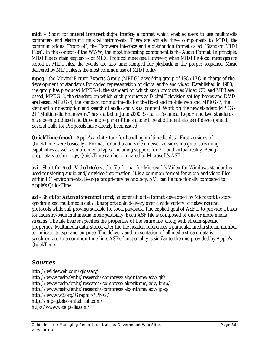**midi** – Short for *musical instrument digital interface*, a format which enables users to use multimedia computers and electronic musical instruments. There are actually three components to MIDI, the communications "Protocol", the Hardware Interface and a distribution format called "Standard MIDI Files". In the context of the WWW, the most interesting component is the Audio Format. In principle, MIDI files contain sequences of MIDI Protocol messages. However, when MIDI Protocol messages are stored in MIDI files, the events are also time-stamped for playback in the proper sequence. Music delivered by MIDI files is the most common use of MIDI today

**mpeg** - the Moving Picture Experts Group (MPEG) a working group of ISO/IEC in charge of the development of standards for coded representation of digital audio and video. Established in 1988, the group has produced MPEG-1, the standard on which such products as Video CD and MP3 are based, MPEG-2, the standard on which such products as Digital Television set top boxes and DVD are based, MPEG-4, the standard for multimedia for the fixed and mobile web and MPEG-7, the standard for description and search of audio and visual content. Work on the new standard MPEG-21 "Multimedia Framework" has started in June 2000. So far a Technical Report and two standards have been produced and three more parts of the standard are at different stages of development. Several Calls for Proposals have already been issued

**QuickTime (mov)** - Apple's architecture for handling multimedia data. First versions of QuickTime were basically a Format for audio and video, newer versions integrate streaming capabilities as well as more media types, including support for 3D and virtual reality. Being a proprietary technology, QuickTime can be compared to Microsoft's ASF

**avi** - Short for *Audio Video Interleave,* the file format for Microsoft's Video for Windows standard is used for storing audio and/or video information. It is a common format for audio and video files within PC environments. Being a proprietary technology, AVI can be functionally compared to Apple's QuickTime

**asf** - Short for *Advanced Streaming Format,* an extensible file format developed by Microsoft to store synchronized multimedia data. It supports data delivery over a wide variety of networks and protocols while still proving suitable for local playback. The explicit goal of ASF is to provide a basis for industry-wide multimedia interoperability. Each ASF file is composed of one or more media streams. The file header specifies the properties of the entire file, along with stream-specific properties. Multimedia data, stored after the file header, references a particular media stream number to indicate its type and purpose. The delivery and presentation of all media stream data is synchronized to a common time-line. ASF's functionality is similar to the one provided by Apple's QuickTime

### *Sources*

http://wildesweb.com/glossary/ http://www.rasip.fer.hr/research/compress/algorithms/adv/gif/ http://www.rasip.fer.hr/research/compress/algorithms/adv/bmp/ http://www.rasip.fer.hr/research/compress/algorithms/adv/jpeg/ http://www.w3.org/Graphics/PNG/ http://mpeg.telecomitalialab.com/ http://www.webopedia.com/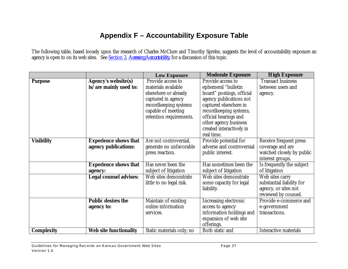# **Appendix F – Accountability Exposure Table**

The following table, based loosely upon the research of Charles McClure and Timothy Sprehe, suggests the level of accountability exposure an agency is open to on its web sites. See Section 3, *Accessing Accountability*, for a discussion of this topic.

|                   |                               | <b>Low Exposure</b>       | <b>Moderate Exposure</b>  | <b>High Exposure</b>         |
|-------------------|-------------------------------|---------------------------|---------------------------|------------------------------|
| <b>Purpose</b>    | <b>Agency's website(s)</b>    | Provide access to         | Provide access to         | <b>Transact business</b>     |
|                   | is/are mainly used to:        | materials available       | ephemeral "bulletin       | between users and            |
|                   |                               | elsewhere or already      | board" postings, official | agency.                      |
|                   |                               | captured in agency        | agency publications not   |                              |
|                   |                               | recordkeeping systems     | captured elsewhere in     |                              |
|                   |                               | capable of meeting        | recordkeeping systems,    |                              |
|                   |                               | retention requirements.   | official hearings and     |                              |
|                   |                               |                           | other agency business     |                              |
|                   |                               |                           | created interactively in  |                              |
|                   |                               |                           | real time.                |                              |
| <b>Visibility</b> | <b>Experience shows that</b>  | Are not controversial,    | Provide potential for     | Receive frequent press       |
|                   | agency publications:          | generate no unfavorable   | adverse and controversial | coverage and are             |
|                   |                               | press reaction.           | public interest.          | watched closely by public    |
|                   |                               |                           |                           | interest groups.             |
|                   | <b>Experience shows that</b>  | Has never been the        | Has sometimes been the    | Is frequently the subject    |
|                   | agency:                       | subject of litigation     | subject of litigation     | of litigation                |
|                   | <b>Legal counsel advises:</b> | Web sites demonstrate     | Web sites demonstrate     | Web sites carry              |
|                   |                               | little to no legal risk.  | some capacity for legal   | substantial liability for    |
|                   |                               |                           | liability.                | agency, or sites not         |
|                   |                               |                           |                           | reviewed by counsel.         |
|                   | <b>Public desires the</b>     | Maintain of existing      | Increasing electronic     | Provide e-commerce and       |
|                   | agency to:                    | online information        | access to agency          | e-government                 |
|                   |                               | services.                 | information holdings and  | transactions.                |
|                   |                               |                           | expansion of web site     |                              |
|                   |                               |                           | offerings.                |                              |
| <b>Complexity</b> | <b>Web site functionality</b> | Static materials only; no | Both static and           | <b>Interactive materials</b> |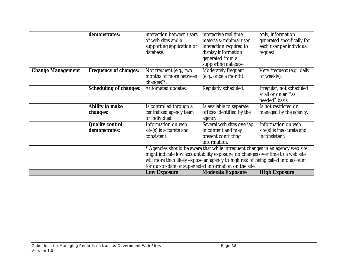|                          | demonstrates:                 | interaction between users | interactive real time                                                            | only; information                               |
|--------------------------|-------------------------------|---------------------------|----------------------------------------------------------------------------------|-------------------------------------------------|
|                          |                               | of web sites and a        | materials; minimal user                                                          | generated specifically for                      |
|                          |                               | supporting application or | interaction required to                                                          | each user per individual                        |
|                          |                               | database.                 | display information                                                              | request.                                        |
|                          |                               |                           | generated from a                                                                 |                                                 |
|                          |                               |                           | supporting database.                                                             |                                                 |
| <b>Change Management</b> | <b>Frequency of changes:</b>  | Not frequent (e.g., two   | Moderately frequent                                                              | $\overline{\text{V}}$ ery frequent (e.g., daily |
|                          |                               | months or more between    | (e.g., once a month).                                                            | or weekly).                                     |
|                          |                               | changes $)$ *.            |                                                                                  |                                                 |
|                          | <b>Scheduling of changes:</b> | Automated updates.        | Regularly scheduled.                                                             | Irregular, not scheduled                        |
|                          |                               |                           |                                                                                  | at all or on an "as                             |
|                          |                               |                           |                                                                                  | needed" basis.                                  |
|                          | <b>Ability to make</b>        | Is controlled through a   | Is available to separate                                                         | Is not restricted or                            |
|                          | <i>changes:</i>               | centralized agency team   | offices identified by the                                                        | managed by the agency.                          |
|                          |                               | or individual.            | agency.                                                                          |                                                 |
|                          | <b>Quality control</b>        | Information on web        | Several web sites overlap                                                        | Information on web                              |
|                          | demonstrates:                 | $site(s)$ is accurate and | in content and may                                                               | site(s) is inaccurate and                       |
|                          |                               | consistent.               | present conflicting                                                              | inconsistent.                                   |
|                          |                               |                           | information.                                                                     |                                                 |
|                          |                               |                           | * Agencies should be aware that while infrequent changes in an agency web site   |                                                 |
|                          |                               |                           | might indicate low accountability exposure, no changes over time to a web site   |                                                 |
|                          |                               |                           | will more than likely expose an agency to high risk of being called into account |                                                 |
|                          |                               |                           | for out-of-date or superceded information on the site.                           |                                                 |
|                          |                               | <b>Low Exposure</b>       | <b>Moderate Exposure</b>                                                         | <b>High Exposure</b>                            |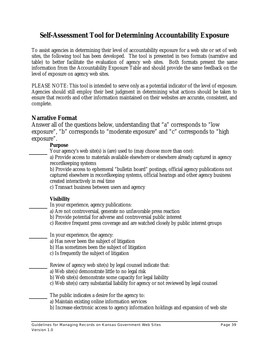# **Self-Assessment Tool for Determining Accountability Exposure**

To assist agencies in determining their level of accountability exposure for a web site or set of web sites, the following tool has been developed. The tool is presented in two formats (narrative and table) to better facilitate the evaluation of agency web sites. Both formats present the same information from the Accountability Exposure Table and should provide the same feedback on the level of exposure on agency web sites.

PLEASE NOTE: This tool is intended to serve only as a potential indicator of the level of exposure. Agencies should still employ their best judgment in determining what actions should be taken to ensure that records and other information maintained on their websites are accurate, consistent, and complete.

### **Narrative Format**

Answer all of the questions below, understanding that "a" corresponds to "low exposure", "b" corresponds to "moderate exposure" and "c" corresponds to "high exposure".

### **Purpose**

Your agency's web site(s) is (are) used to (may choose more than one):

a) Provide access to materials available elsewhere or elsewhere already captured in agency recordkeeping systems

b) Provide access to ephemeral "bulletin board" postings, official agency publications not captured elsewhere in recordkeeping systems, official hearings and other agency business created interactively in real time

c) Transact business between users and agency

### **Visibility**

In your experience, agency publications:

- a) Are not controversial, generate no unfavorable press reaction
- b) Provide potential for adverse and controversial public interest
- c) Receive frequent press coverage and are watched closely by public interest groups

In your experience, the agency:

a) Has never been the subject of litigation

b) Has sometimes been the subject of litigation

c) Is frequently the subject of litigation

Review of agency web site(s) by legal counsel indicate that:

- a) Web site(s) demonstrate little to no legal risk
- b) Web site(s) demonstrate some capacity for legal liability
- c) Web site(s) carry substantial liability for agency or not reviewed by legal counsel

The public indicates a desire for the agency to:

- a) Maintain existing online information services
- b) Increase electronic access to agency information holdings and expansion of web site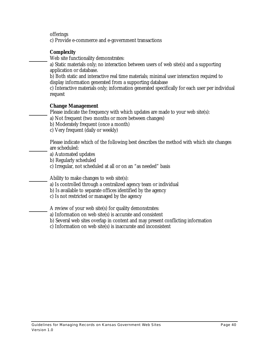offerings

c) Provide e-commerce and e-government transactions

### **Complexity**

Web site functionality demonstrates:

a) Static materials only; no interaction between users of web site(s) and a supporting application or database.

b) Both static and interactive real time materials; minimal user interaction required to display information generated from a supporting database

c) Interactive materials only; information generated specifically for each user per individual request

### **Change Management**

Please indicate the frequency with which updates are made to your web site(s):

a) Not frequent (two months or more between changes)

b) Moderately frequent (once a month)

c) Very frequent (daily or weekly)

Please indicate which of the following best describes the method with which site changes are scheduled:

a) Automated updates

b) Regularly scheduled

c) Irregular, not scheduled at all or on an "as needed" basis

Ability to make changes to web site(s):

a) Is controlled through a centralized agency team or individual

b) Is available to separate offices identified by the agency

c) Is not restricted or managed by the agency

A review of your web site(s) for quality demonstrates:

a) Information on web site(s) is accurate and consistent

b) Several web sites overlap in content and may present conflicting information

c) Information on web site(s) is inaccurate and inconsistent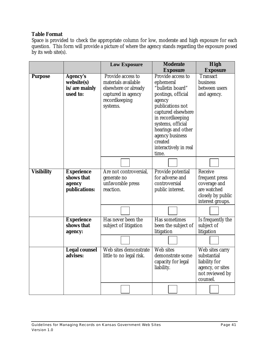#### **Table Format**

Space is provided to check the appropriate column for low, moderate and high exposure for each question. This form will provide a picture of where the agency stands regarding the exposure posed by its web site(s).

|                   |                      | <b>Low Exposure</b>      | <b>Moderate</b>       | <b>High</b>       |
|-------------------|----------------------|--------------------------|-----------------------|-------------------|
|                   |                      |                          | <b>Exposure</b>       | <b>Exposure</b>   |
| <b>Purpose</b>    | <b>Agency's</b>      | Provide access to        | Provide access to     | <b>Transact</b>   |
|                   | website(s)           | materials available      | ephemeral             | business          |
|                   | is/are mainly        | elsewhere or already     | "bulletin board"      | between users     |
|                   | used to:             | captured in agency       | postings, official    | and agency.       |
|                   |                      | recordkeeping            | agency                |                   |
|                   |                      | systems.                 | publications not      |                   |
|                   |                      |                          | captured elsewhere    |                   |
|                   |                      |                          | in recordkeeping      |                   |
|                   |                      |                          | systems, official     |                   |
|                   |                      |                          | hearings and other    |                   |
|                   |                      |                          | agency business       |                   |
|                   |                      |                          | created               |                   |
|                   |                      |                          | interactively in real |                   |
|                   |                      |                          | time.                 |                   |
|                   |                      |                          |                       |                   |
| <b>Visibility</b> | <b>Experience</b>    | Are not controversial,   | Provide potential     | Receive           |
|                   | shows that           | generate no              | for adverse and       | frequent press    |
|                   | agency               | unfavorable press        | controversial         | coverage and      |
|                   | <i>publications:</i> | reaction.                | public interest.      | are watched       |
|                   |                      |                          |                       | closely by public |
|                   |                      |                          |                       | interest groups.  |
|                   |                      |                          |                       |                   |
|                   |                      |                          |                       |                   |
|                   | <b>Experience</b>    | Has never been the       | Has sometimes         | Is frequently the |
|                   | shows that           | subject of litigation    | been the subject of   | subject of        |
|                   | agency:              |                          | litigation            | litigation        |
|                   |                      |                          |                       |                   |
|                   | <b>Legal counsel</b> | Web sites demonstrate    | Web sites             | Web sites carry   |
|                   | advises:             | little to no legal risk. | demonstrate some      | substantial       |
|                   |                      |                          | capacity for legal    | liability for     |
|                   |                      |                          | liability.            | agency, or sites  |
|                   |                      |                          |                       | not reviewed by   |
|                   |                      |                          |                       | counsel.          |
|                   |                      |                          |                       |                   |
|                   |                      |                          |                       |                   |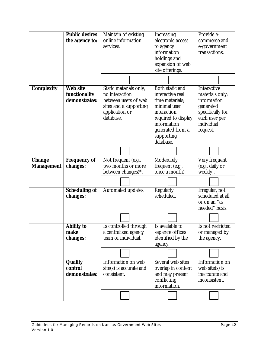|                   | <b>Public desires</b> | Maintain of existing    | Increasing             | Provide e-        |
|-------------------|-----------------------|-------------------------|------------------------|-------------------|
|                   | the agency to:        | online information      | electronic access      | commerce and      |
|                   |                       | services.               | to agency              | e-government      |
|                   |                       |                         | information            | transactions.     |
|                   |                       |                         | holdings and           |                   |
|                   |                       |                         | expansion of web       |                   |
|                   |                       |                         | site offerings.        |                   |
|                   |                       |                         |                        |                   |
|                   |                       |                         |                        |                   |
| <b>Complexity</b> | <b>Web site</b>       | Static materials only;  | <b>Both static and</b> | Interactive       |
|                   | functionality         | no interaction          | interactive real       | materials only;   |
|                   | demonstrates:         | between users of web    | time materials;        | information       |
|                   |                       | sites and a supporting  | minimal user           | generated         |
|                   |                       | application or          | interaction            | specifically for  |
|                   |                       | database.               | required to display    | each user per     |
|                   |                       |                         | information            | individual        |
|                   |                       |                         | generated from a       | request.          |
|                   |                       |                         | supporting             |                   |
|                   |                       |                         | database.              |                   |
|                   |                       |                         |                        |                   |
|                   |                       |                         |                        |                   |
| <b>Change</b>     | <b>Frequency of</b>   | Not frequent (e.g.,     | Moderately             | Very frequent     |
| <b>Management</b> | <i>changes:</i>       | two months or more      | frequent (e.g.,        | (e.g., daily or   |
|                   |                       | between changes)*.      | once a month).         | weekly).          |
|                   |                       |                         |                        |                   |
|                   | <b>Scheduling of</b>  | Automated updates.      | Regularly              | Irregular, not    |
|                   | <i>changes:</i>       |                         | scheduled.             | scheduled at all  |
|                   |                       |                         |                        | or on an "as      |
|                   |                       |                         |                        | needed" basis.    |
|                   |                       |                         |                        |                   |
|                   | Ability to            | Is controlled through   | Is available to        | Is not restricted |
|                   | make                  | a centralized agency    | separate offices       | or managed by     |
|                   | changes:              | team or individual.     | identified by the      | the agency.       |
|                   |                       |                         | agency.                |                   |
|                   |                       |                         |                        |                   |
|                   | <b>Quality</b>        | Information on web      | Several web sites      | Information on    |
|                   | <b>control</b>        | site(s) is accurate and | overlap in content     | web site $(s)$ is |
|                   | demonstrates:         | consistent.             | and may present        | inaccurate and    |
|                   |                       |                         | conflicting            | inconsistent.     |
|                   |                       |                         | information.           |                   |
|                   |                       |                         |                        |                   |
|                   |                       |                         |                        |                   |